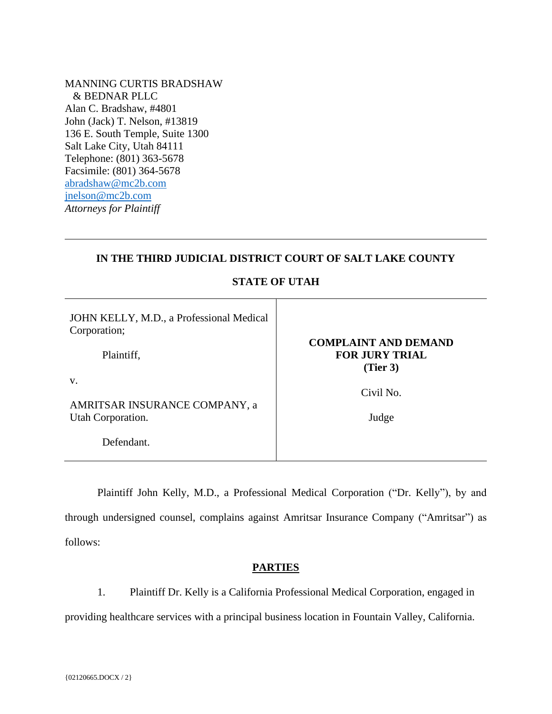MANNING CURTIS BRADSHAW & BEDNAR PLLC Alan C. Bradshaw, #4801 John (Jack) T. Nelson, #13819 136 E. South Temple, Suite 1300 Salt Lake City, Utah 84111 Telephone: (801) 363-5678 Facsimile: (801) 364-5678 [abradshaw@mc2b.com](mailto:abradshaw@mc2b.com) [jnelson@mc2b.com](mailto:jnelson@mc2b.com) *Attorneys for Plaintiff*

## **IN THE THIRD JUDICIAL DISTRICT COURT OF SALT LAKE COUNTY**

**STATE OF UTAH**

| JOHN KELLY, M.D., a Professional Medical<br>Corporation; | <b>COMPLAINT AND DEMAND</b>       |
|----------------------------------------------------------|-----------------------------------|
| Plaintiff,                                               | <b>FOR JURY TRIAL</b><br>(Tier 3) |
| V.<br>AMRITSAR INSURANCE COMPANY, a                      | Civil No.                         |
| Utah Corporation.                                        | Judge                             |
| Defendant.                                               |                                   |

Plaintiff John Kelly, M.D., a Professional Medical Corporation ("Dr. Kelly"), by and through undersigned counsel, complains against Amritsar Insurance Company ("Amritsar") as follows:

## **PARTIES**

1. Plaintiff Dr. Kelly is a California Professional Medical Corporation, engaged in providing healthcare services with a principal business location in Fountain Valley, California.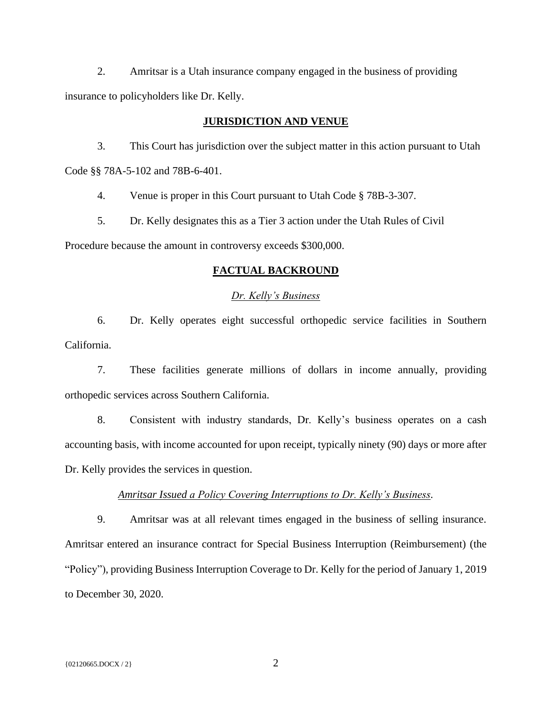2. Amritsar is a Utah insurance company engaged in the business of providing insurance to policyholders like Dr. Kelly.

#### **JURISDICTION AND VENUE**

3. This Court has jurisdiction over the subject matter in this action pursuant to Utah Code §§ 78A-5-102 and 78B-6-401.

4. Venue is proper in this Court pursuant to Utah Code § 78B-3-307.

5. Dr. Kelly designates this as a Tier 3 action under the Utah Rules of Civil Procedure because the amount in controversy exceeds \$300,000.

## **FACTUAL BACKROUND**

#### *Dr. Kelly's Business*

6. Dr. Kelly operates eight successful orthopedic service facilities in Southern California.

7. These facilities generate millions of dollars in income annually, providing orthopedic services across Southern California.

8. Consistent with industry standards, Dr. Kelly's business operates on a cash accounting basis, with income accounted for upon receipt, typically ninety (90) days or more after Dr. Kelly provides the services in question.

## *Amritsar Issued a Policy Covering Interruptions to Dr. Kelly's Business.*

9. Amritsar was at all relevant times engaged in the business of selling insurance. Amritsar entered an insurance contract for Special Business Interruption (Reimbursement) (the "Policy"), providing Business Interruption Coverage to Dr. Kelly for the period of January 1, 2019 to December 30, 2020.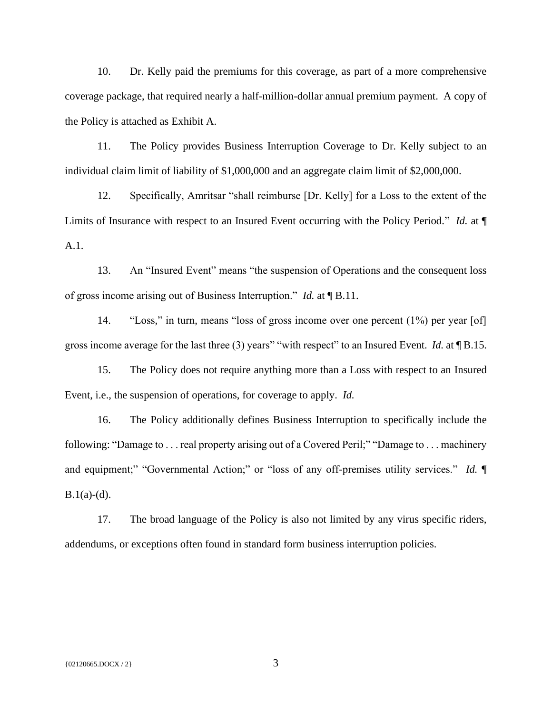10. Dr. Kelly paid the premiums for this coverage, as part of a more comprehensive coverage package, that required nearly a half-million-dollar annual premium payment. A copy of the Policy is attached as Exhibit A.

11. The Policy provides Business Interruption Coverage to Dr. Kelly subject to an individual claim limit of liability of \$1,000,000 and an aggregate claim limit of \$2,000,000.

12. Specifically, Amritsar "shall reimburse [Dr. Kelly] for a Loss to the extent of the Limits of Insurance with respect to an Insured Event occurring with the Policy Period." *Id.* at ¶ A.1.

13. An "Insured Event" means "the suspension of Operations and the consequent loss of gross income arising out of Business Interruption." *Id.* at ¶ B.11.

14. "Loss," in turn, means "loss of gross income over one percent (1%) per year [of] gross income average for the last three (3) years" "with respect" to an Insured Event. *Id.* at ¶ B.15.

15. The Policy does not require anything more than a Loss with respect to an Insured Event, i.e., the suspension of operations, for coverage to apply. *Id.* 

16. The Policy additionally defines Business Interruption to specifically include the following: "Damage to . . . real property arising out of a Covered Peril;" "Damage to . . . machinery and equipment;" "Governmental Action;" or "loss of any off-premises utility services." *Id.*  $\P$  $B.1(a)-(d)$ .

17. The broad language of the Policy is also not limited by any virus specific riders, addendums, or exceptions often found in standard form business interruption policies.

 $\{02120665.DOCX / 2\}$  3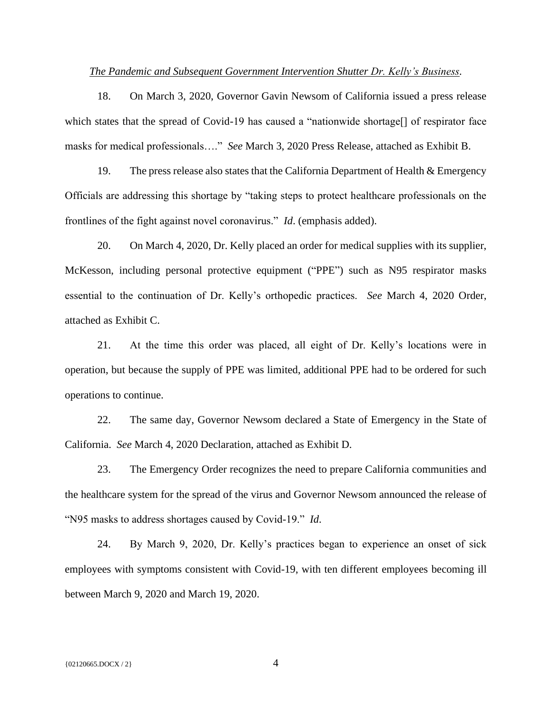## *The Pandemic and Subsequent Government Intervention Shutter Dr. Kelly's Business.*

18. On March 3, 2020, Governor Gavin Newsom of California issued a press release which states that the spread of Covid-19 has caused a "nationwide shortage" of respirator face masks for medical professionals…." *See* March 3, 2020 Press Release, attached as Exhibit B.

19. The press release also states that the California Department of Health & Emergency Officials are addressing this shortage by "taking steps to protect healthcare professionals on the frontlines of the fight against novel coronavirus." *Id*. (emphasis added).

20. On March 4, 2020, Dr. Kelly placed an order for medical supplies with its supplier, McKesson, including personal protective equipment ("PPE") such as N95 respirator masks essential to the continuation of Dr. Kelly's orthopedic practices. *See* March 4, 2020 Order, attached as Exhibit C.

21. At the time this order was placed, all eight of Dr. Kelly's locations were in operation, but because the supply of PPE was limited, additional PPE had to be ordered for such operations to continue.

22. The same day, Governor Newsom declared a State of Emergency in the State of California. *See* March 4, 2020 Declaration, attached as Exhibit D.

23. The Emergency Order recognizes the need to prepare California communities and the healthcare system for the spread of the virus and Governor Newsom announced the release of "N95 masks to address shortages caused by Covid-19." *Id*.

24. By March 9, 2020, Dr. Kelly's practices began to experience an onset of sick employees with symptoms consistent with Covid-19, with ten different employees becoming ill between March 9, 2020 and March 19, 2020.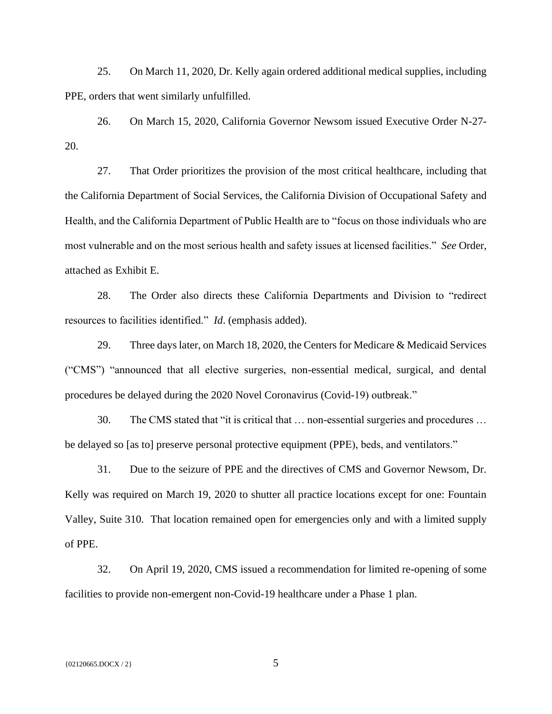25. On March 11, 2020, Dr. Kelly again ordered additional medical supplies, including PPE, orders that went similarly unfulfilled.

26. On March 15, 2020, California Governor Newsom issued Executive Order N-27- 20.

27. That Order prioritizes the provision of the most critical healthcare, including that the California Department of Social Services, the California Division of Occupational Safety and Health, and the California Department of Public Health are to "focus on those individuals who are most vulnerable and on the most serious health and safety issues at licensed facilities." *See* Order, attached as Exhibit E.

28. The Order also directs these California Departments and Division to "redirect resources to facilities identified." *Id*. (emphasis added).

29. Three days later, on March 18, 2020, the Centers for Medicare & Medicaid Services ("CMS") "announced that all elective surgeries, non-essential medical, surgical, and dental procedures be delayed during the 2020 Novel Coronavirus (Covid-19) outbreak."

30. The CMS stated that "it is critical that … non-essential surgeries and procedures … be delayed so [as to] preserve personal protective equipment (PPE), beds, and ventilators."

31. Due to the seizure of PPE and the directives of CMS and Governor Newsom, Dr. Kelly was required on March 19, 2020 to shutter all practice locations except for one: Fountain Valley, Suite 310. That location remained open for emergencies only and with a limited supply of PPE.

32. On April 19, 2020, CMS issued a recommendation for limited re-opening of some facilities to provide non-emergent non-Covid-19 healthcare under a Phase 1 plan.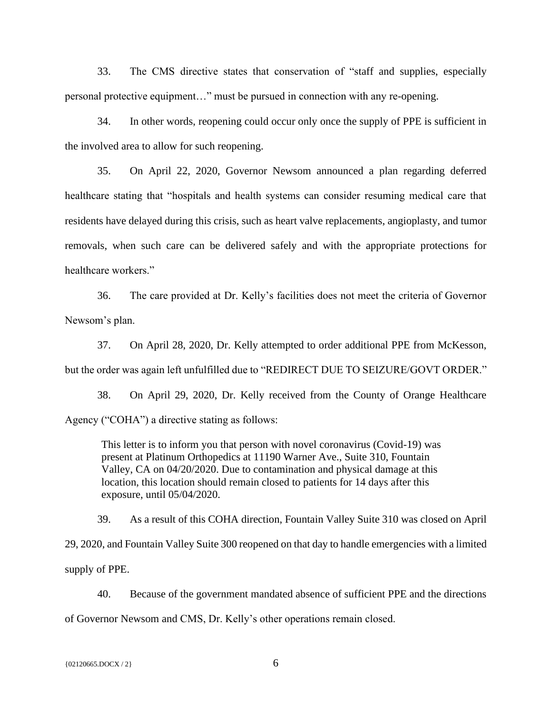33. The CMS directive states that conservation of "staff and supplies, especially personal protective equipment…" must be pursued in connection with any re-opening.

34. In other words, reopening could occur only once the supply of PPE is sufficient in the involved area to allow for such reopening.

35. On April 22, 2020, Governor Newsom announced a plan regarding deferred healthcare stating that "hospitals and health systems can consider resuming medical care that residents have delayed during this crisis, such as heart valve replacements, angioplasty, and tumor removals, when such care can be delivered safely and with the appropriate protections for healthcare workers."

36. The care provided at Dr. Kelly's facilities does not meet the criteria of Governor Newsom's plan.

37. On April 28, 2020, Dr. Kelly attempted to order additional PPE from McKesson, but the order was again left unfulfilled due to "REDIRECT DUE TO SEIZURE/GOVT ORDER."

38. On April 29, 2020, Dr. Kelly received from the County of Orange Healthcare Agency ("COHA") a directive stating as follows:

This letter is to inform you that person with novel coronavirus (Covid-19) was present at Platinum Orthopedics at 11190 Warner Ave., Suite 310, Fountain Valley, CA on 04/20/2020. Due to contamination and physical damage at this location, this location should remain closed to patients for 14 days after this exposure, until 05/04/2020.

39. As a result of this COHA direction, Fountain Valley Suite 310 was closed on April 29, 2020, and Fountain Valley Suite 300 reopened on that day to handle emergencies with a limited supply of PPE.

40. Because of the government mandated absence of sufficient PPE and the directions of Governor Newsom and CMS, Dr. Kelly's other operations remain closed.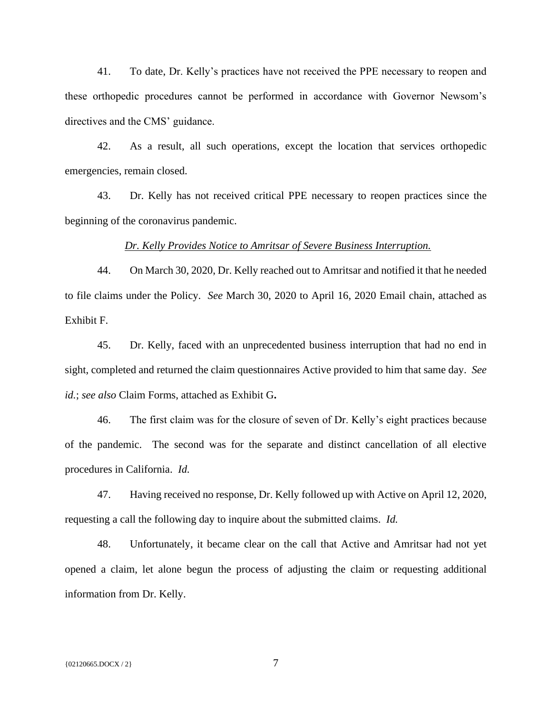41. To date, Dr. Kelly's practices have not received the PPE necessary to reopen and these orthopedic procedures cannot be performed in accordance with Governor Newsom's directives and the CMS' guidance.

42. As a result, all such operations, except the location that services orthopedic emergencies, remain closed.

43. Dr. Kelly has not received critical PPE necessary to reopen practices since the beginning of the coronavirus pandemic.

#### *Dr. Kelly Provides Notice to Amritsar of Severe Business Interruption.*

44. On March 30, 2020, Dr. Kelly reached out to Amritsar and notified it that he needed to file claims under the Policy. *See* March 30, 2020 to April 16, 2020 Email chain, attached as Exhibit F.

45. Dr. Kelly, faced with an unprecedented business interruption that had no end in sight, completed and returned the claim questionnaires Active provided to him that same day. *See id.*; *see also* Claim Forms, attached as Exhibit G**.**

46. The first claim was for the closure of seven of Dr. Kelly's eight practices because of the pandemic. The second was for the separate and distinct cancellation of all elective procedures in California. *Id.*

47. Having received no response, Dr. Kelly followed up with Active on April 12, 2020, requesting a call the following day to inquire about the submitted claims. *Id.*

48. Unfortunately, it became clear on the call that Active and Amritsar had not yet opened a claim, let alone begun the process of adjusting the claim or requesting additional information from Dr. Kelly.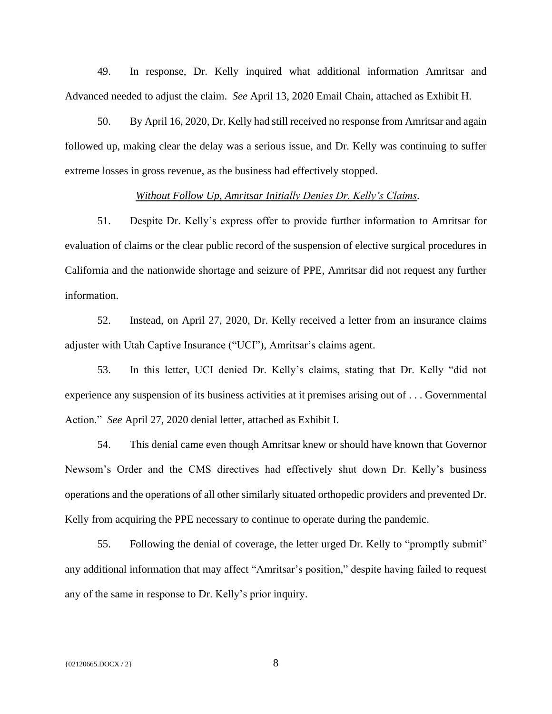49. In response, Dr. Kelly inquired what additional information Amritsar and Advanced needed to adjust the claim. *See* April 13, 2020 Email Chain, attached as Exhibit H.

50. By April 16, 2020, Dr. Kelly had still received no response from Amritsar and again followed up, making clear the delay was a serious issue, and Dr. Kelly was continuing to suffer extreme losses in gross revenue, as the business had effectively stopped.

## *Without Follow Up, Amritsar Initially Denies Dr. Kelly's Claims.*

51. Despite Dr. Kelly's express offer to provide further information to Amritsar for evaluation of claims or the clear public record of the suspension of elective surgical procedures in California and the nationwide shortage and seizure of PPE, Amritsar did not request any further information.

52. Instead, on April 27, 2020, Dr. Kelly received a letter from an insurance claims adjuster with Utah Captive Insurance ("UCI"), Amritsar's claims agent.

53. In this letter, UCI denied Dr. Kelly's claims, stating that Dr. Kelly "did not experience any suspension of its business activities at it premises arising out of . . . Governmental Action." *See* April 27, 2020 denial letter, attached as Exhibit I.

54. This denial came even though Amritsar knew or should have known that Governor Newsom's Order and the CMS directives had effectively shut down Dr. Kelly's business operations and the operations of all other similarly situated orthopedic providers and prevented Dr. Kelly from acquiring the PPE necessary to continue to operate during the pandemic.

55. Following the denial of coverage, the letter urged Dr. Kelly to "promptly submit" any additional information that may affect "Amritsar's position," despite having failed to request any of the same in response to Dr. Kelly's prior inquiry.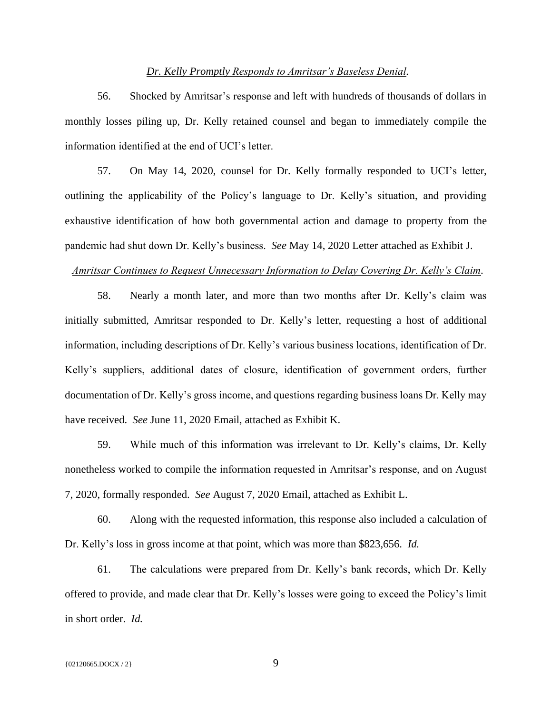#### *Dr. Kelly Promptly Responds to Amritsar's Baseless Denial.*

56. Shocked by Amritsar's response and left with hundreds of thousands of dollars in monthly losses piling up, Dr. Kelly retained counsel and began to immediately compile the information identified at the end of UCI's letter.

57. On May 14, 2020, counsel for Dr. Kelly formally responded to UCI's letter, outlining the applicability of the Policy's language to Dr. Kelly's situation, and providing exhaustive identification of how both governmental action and damage to property from the pandemic had shut down Dr. Kelly's business. *See* May 14, 2020 Letter attached as Exhibit J.

#### *Amritsar Continues to Request Unnecessary Information to Delay Covering Dr. Kelly's Claim.*

58. Nearly a month later, and more than two months after Dr. Kelly's claim was initially submitted, Amritsar responded to Dr. Kelly's letter, requesting a host of additional information, including descriptions of Dr. Kelly's various business locations, identification of Dr. Kelly's suppliers, additional dates of closure, identification of government orders, further documentation of Dr. Kelly's gross income, and questions regarding business loans Dr. Kelly may have received. *See* June 11, 2020 Email, attached as Exhibit K.

59. While much of this information was irrelevant to Dr. Kelly's claims, Dr. Kelly nonetheless worked to compile the information requested in Amritsar's response, and on August 7, 2020, formally responded. *See* August 7, 2020 Email, attached as Exhibit L.

60. Along with the requested information, this response also included a calculation of Dr. Kelly's loss in gross income at that point, which was more than \$823,656. *Id.* 

61. The calculations were prepared from Dr. Kelly's bank records, which Dr. Kelly offered to provide, and made clear that Dr. Kelly's losses were going to exceed the Policy's limit in short order. *Id.*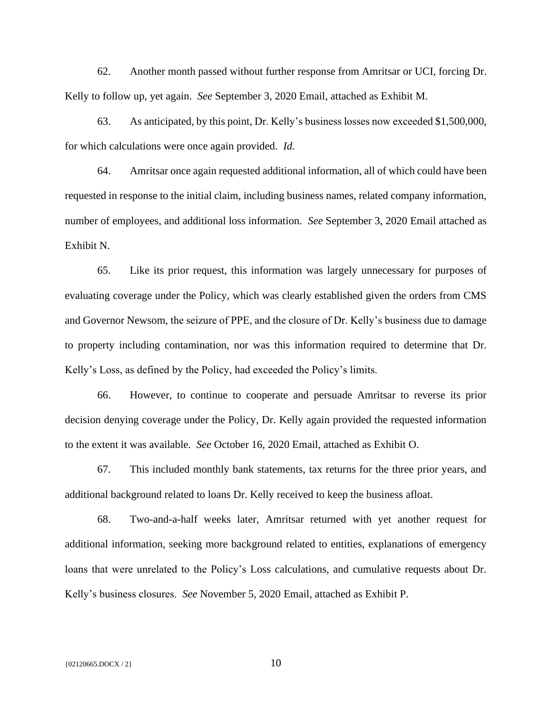62. Another month passed without further response from Amritsar or UCI, forcing Dr. Kelly to follow up, yet again. *See* September 3, 2020 Email, attached as Exhibit M.

63. As anticipated, by this point, Dr. Kelly's business losses now exceeded \$1,500,000, for which calculations were once again provided. *Id.*

64. Amritsar once again requested additional information, all of which could have been requested in response to the initial claim, including business names, related company information, number of employees, and additional loss information. *See* September 3, 2020 Email attached as Exhibit N.

65. Like its prior request, this information was largely unnecessary for purposes of evaluating coverage under the Policy, which was clearly established given the orders from CMS and Governor Newsom, the seizure of PPE, and the closure of Dr. Kelly's business due to damage to property including contamination, nor was this information required to determine that Dr. Kelly's Loss, as defined by the Policy, had exceeded the Policy's limits.

66. However, to continue to cooperate and persuade Amritsar to reverse its prior decision denying coverage under the Policy, Dr. Kelly again provided the requested information to the extent it was available. *See* October 16, 2020 Email, attached as Exhibit O.

67. This included monthly bank statements, tax returns for the three prior years, and additional background related to loans Dr. Kelly received to keep the business afloat.

68. Two-and-a-half weeks later, Amritsar returned with yet another request for additional information, seeking more background related to entities, explanations of emergency loans that were unrelated to the Policy's Loss calculations, and cumulative requests about Dr. Kelly's business closures. *See* November 5, 2020 Email, attached as Exhibit P.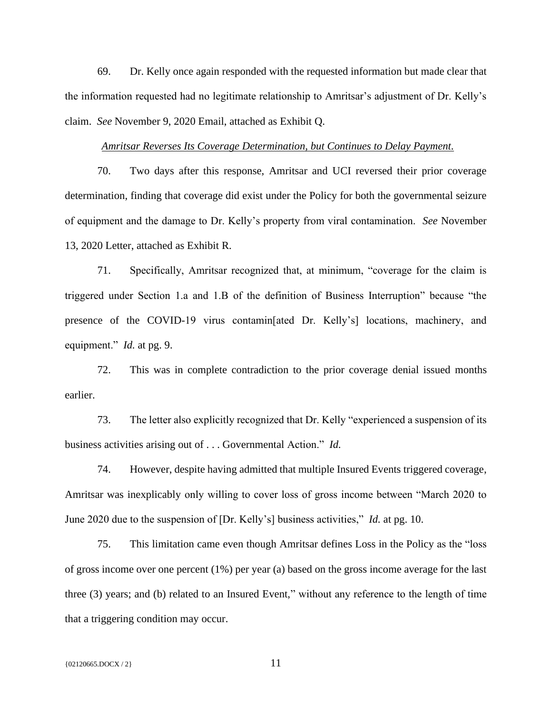69. Dr. Kelly once again responded with the requested information but made clear that the information requested had no legitimate relationship to Amritsar's adjustment of Dr. Kelly's claim. *See* November 9, 2020 Email, attached as Exhibit Q.

## *Amritsar Reverses Its Coverage Determination, but Continues to Delay Payment.*

70. Two days after this response, Amritsar and UCI reversed their prior coverage determination, finding that coverage did exist under the Policy for both the governmental seizure of equipment and the damage to Dr. Kelly's property from viral contamination. *See* November 13, 2020 Letter, attached as Exhibit R.

71. Specifically, Amritsar recognized that, at minimum, "coverage for the claim is triggered under Section 1.a and 1.B of the definition of Business Interruption" because "the presence of the COVID-19 virus contamin[ated Dr. Kelly's] locations, machinery, and equipment." *Id.* at pg. 9.

72. This was in complete contradiction to the prior coverage denial issued months earlier.

73. The letter also explicitly recognized that Dr. Kelly "experienced a suspension of its business activities arising out of . . . Governmental Action." *Id.* 

74. However, despite having admitted that multiple Insured Events triggered coverage, Amritsar was inexplicably only willing to cover loss of gross income between "March 2020 to June 2020 due to the suspension of [Dr. Kelly's] business activities," *Id.* at pg. 10.

75. This limitation came even though Amritsar defines Loss in the Policy as the "loss of gross income over one percent (1%) per year (a) based on the gross income average for the last three (3) years; and (b) related to an Insured Event," without any reference to the length of time that a triggering condition may occur.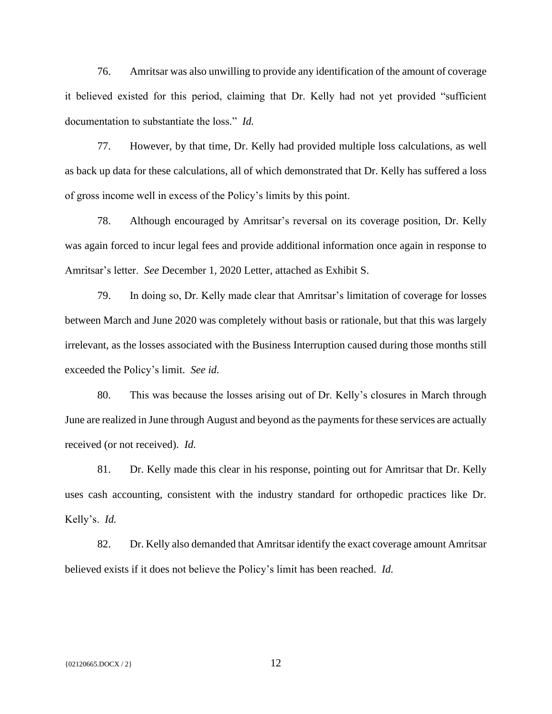76. Amritsar was also unwilling to provide any identification of the amount of coverage it believed existed for this period, claiming that Dr. Kelly had not yet provided "sufficient documentation to substantiate the loss." *Id.* 

77. However, by that time, Dr. Kelly had provided multiple loss calculations, as well as back up data for these calculations, all of which demonstrated that Dr. Kelly has suffered a loss of gross income well in excess of the Policy's limits by this point.

78. Although encouraged by Amritsar's reversal on its coverage position, Dr. Kelly was again forced to incur legal fees and provide additional information once again in response to Amritsar's letter. *See* December 1, 2020 Letter, attached as Exhibit S.

79. In doing so, Dr. Kelly made clear that Amritsar's limitation of coverage for losses between March and June 2020 was completely without basis or rationale, but that this was largely irrelevant, as the losses associated with the Business Interruption caused during those months still exceeded the Policy's limit. *See id.*

80. This was because the losses arising out of Dr. Kelly's closures in March through June are realized in June through August and beyond as the payments for these services are actually received (or not received). *Id.*

81. Dr. Kelly made this clear in his response, pointing out for Amritsar that Dr. Kelly uses cash accounting, consistent with the industry standard for orthopedic practices like Dr. Kelly's. *Id.* 

82. Dr. Kelly also demanded that Amritsar identify the exact coverage amount Amritsar believed exists if it does not believe the Policy's limit has been reached. *Id.*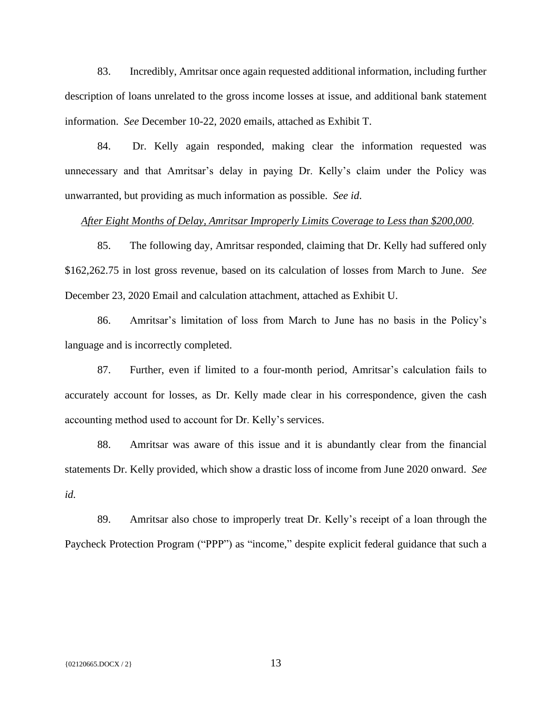83. Incredibly, Amritsar once again requested additional information, including further description of loans unrelated to the gross income losses at issue, and additional bank statement information. *See* December 10-22, 2020 emails, attached as Exhibit T.

84. Dr. Kelly again responded, making clear the information requested was unnecessary and that Amritsar's delay in paying Dr. Kelly's claim under the Policy was unwarranted, but providing as much information as possible. *See id*.

## *After Eight Months of Delay, Amritsar Improperly Limits Coverage to Less than \$200,000.*

85. The following day, Amritsar responded, claiming that Dr. Kelly had suffered only \$162,262.75 in lost gross revenue, based on its calculation of losses from March to June. *See*  December 23, 2020 Email and calculation attachment, attached as Exhibit U.

86. Amritsar's limitation of loss from March to June has no basis in the Policy's language and is incorrectly completed.

87. Further, even if limited to a four-month period, Amritsar's calculation fails to accurately account for losses, as Dr. Kelly made clear in his correspondence, given the cash accounting method used to account for Dr. Kelly's services.

88. Amritsar was aware of this issue and it is abundantly clear from the financial statements Dr. Kelly provided, which show a drastic loss of income from June 2020 onward. *See id.*

89. Amritsar also chose to improperly treat Dr. Kelly's receipt of a loan through the Paycheck Protection Program ("PPP") as "income," despite explicit federal guidance that such a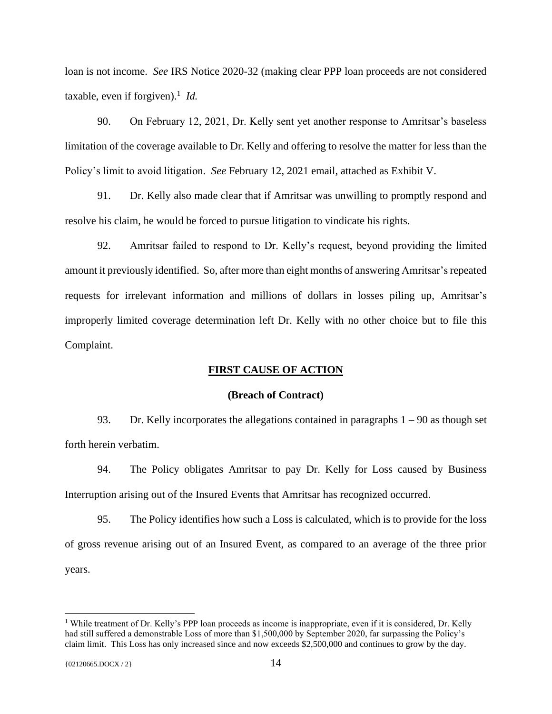loan is not income. *See* IRS Notice 2020-32 (making clear PPP loan proceeds are not considered taxable, even if forgiven).<sup>1</sup> *Id.* 

90. On February 12, 2021, Dr. Kelly sent yet another response to Amritsar's baseless limitation of the coverage available to Dr. Kelly and offering to resolve the matter for less than the Policy's limit to avoid litigation. *See* February 12, 2021 email, attached as Exhibit V.

91. Dr. Kelly also made clear that if Amritsar was unwilling to promptly respond and resolve his claim, he would be forced to pursue litigation to vindicate his rights.

92. Amritsar failed to respond to Dr. Kelly's request, beyond providing the limited amount it previously identified. So, after more than eight months of answering Amritsar's repeated requests for irrelevant information and millions of dollars in losses piling up, Amritsar's improperly limited coverage determination left Dr. Kelly with no other choice but to file this Complaint.

#### **FIRST CAUSE OF ACTION**

#### **(Breach of Contract)**

93. Dr. Kelly incorporates the allegations contained in paragraphs  $1 - 90$  as though set forth herein verbatim.

94. The Policy obligates Amritsar to pay Dr. Kelly for Loss caused by Business Interruption arising out of the Insured Events that Amritsar has recognized occurred.

95. The Policy identifies how such a Loss is calculated, which is to provide for the loss of gross revenue arising out of an Insured Event, as compared to an average of the three prior years.

<sup>&</sup>lt;sup>1</sup> While treatment of Dr. Kelly's PPP loan proceeds as income is inappropriate, even if it is considered, Dr. Kelly had still suffered a demonstrable Loss of more than \$1,500,000 by September 2020, far surpassing the Policy's claim limit. This Loss has only increased since and now exceeds \$2,500,000 and continues to grow by the day.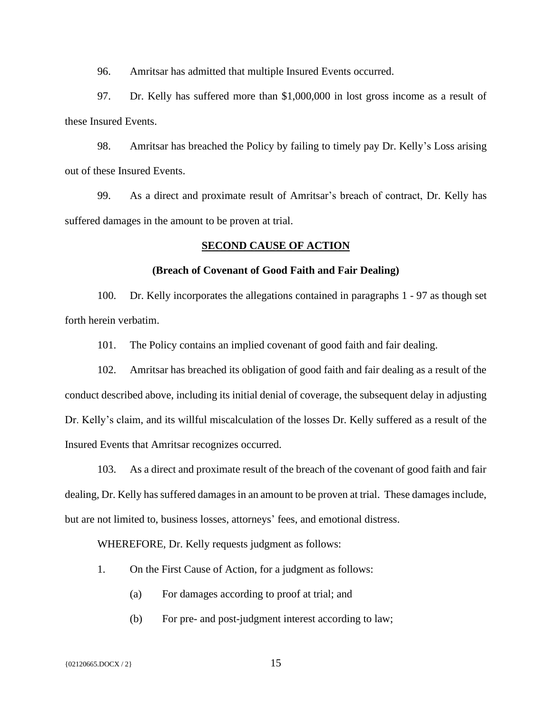96. Amritsar has admitted that multiple Insured Events occurred.

97. Dr. Kelly has suffered more than \$1,000,000 in lost gross income as a result of these Insured Events.

98. Amritsar has breached the Policy by failing to timely pay Dr. Kelly's Loss arising out of these Insured Events.

99. As a direct and proximate result of Amritsar's breach of contract, Dr. Kelly has suffered damages in the amount to be proven at trial.

## **SECOND CAUSE OF ACTION**

## **(Breach of Covenant of Good Faith and Fair Dealing)**

100. Dr. Kelly incorporates the allegations contained in paragraphs 1 - 97 as though set forth herein verbatim.

101. The Policy contains an implied covenant of good faith and fair dealing.

102. Amritsar has breached its obligation of good faith and fair dealing as a result of the conduct described above, including its initial denial of coverage, the subsequent delay in adjusting Dr. Kelly's claim, and its willful miscalculation of the losses Dr. Kelly suffered as a result of the Insured Events that Amritsar recognizes occurred.

103. As a direct and proximate result of the breach of the covenant of good faith and fair dealing, Dr. Kelly has suffered damages in an amount to be proven at trial. These damages include, but are not limited to, business losses, attorneys' fees, and emotional distress.

WHEREFORE, Dr. Kelly requests judgment as follows:

- 1. On the First Cause of Action, for a judgment as follows:
	- (a) For damages according to proof at trial; and
	- (b) For pre- and post-judgment interest according to law;